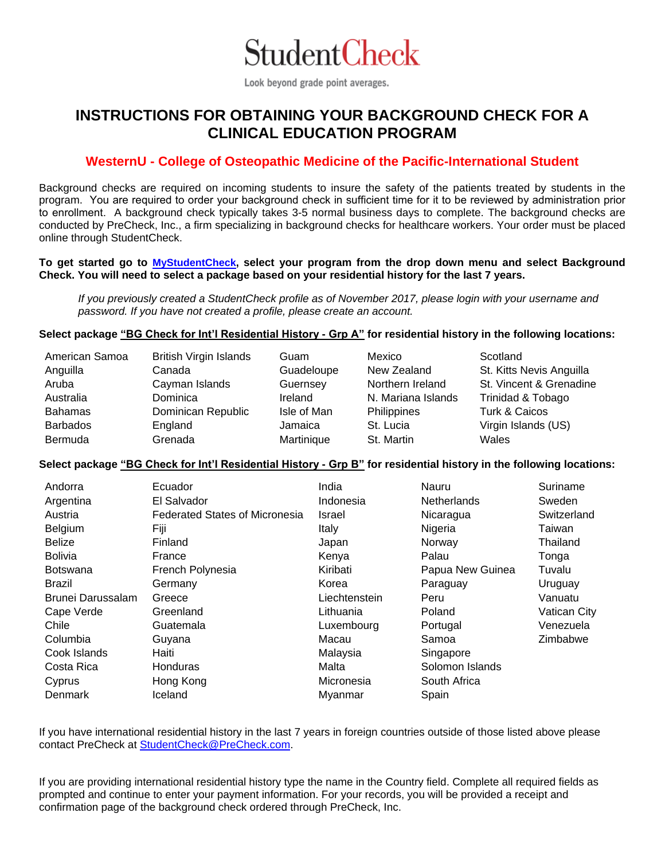

Look beyond grade point averages.

# **INSTRUCTIONS FOR OBTAINING YOUR BACKGROUND CHECK FOR A CLINICAL EDUCATION PROGRAM**

# **WesternU - College of Osteopathic Medicine of the Pacific-International Student**

Background checks are required on incoming students to insure the safety of the patients treated by students in the program. You are required to order your background check in sufficient time for it to be reviewed by administration prior to enrollment. A background check typically takes 3-5 normal business days to complete. The background checks are conducted by PreCheck, Inc., a firm specializing in background checks for healthcare workers. Your order must be placed online through StudentCheck.

#### **To get started go to [MyStudentCheck,](https://candidate.precheck.com/StudentCheck?schoolId=8397) select your program from the drop down menu and select Background Check. You will need to select a package based on your residential history for the last 7 years.**

*If you previously created a StudentCheck profile as of November 2017, please login with your username and password. If you have not created a profile, please create an account.* 

## Select package "BG Check for Int'l Residential History - Grp A" for residential history in the following locations:

| American Samoa<br>Anguilla | <b>British Virgin Islands</b><br>Canada | Guam<br>Guadeloupe | Mexico<br>New Zealand | Scotland<br>St. Kitts Nevis Anguilla |
|----------------------------|-----------------------------------------|--------------------|-----------------------|--------------------------------------|
| Aruba                      | Cayman Islands                          | Guernsey           | Northern Ireland      | St. Vincent & Grenadine              |
| Australia                  | Dominica                                | Ireland            | N. Mariana Islands    | Trinidad & Tobago                    |
| <b>Bahamas</b>             | Dominican Republic                      | Isle of Man        | Philippines           | Turk & Caicos                        |
| <b>Barbados</b>            | England                                 | Jamaica            | St. Lucia             | Virgin Islands (US)                  |
| <b>Bermuda</b>             | Grenada                                 | Martinique         | St. Martin            | Wales                                |

#### **Select package "BG Check for Int'l Residential History - Grp B" for residential history in the following locations:**

| Andorra           | Ecuador                               | India         | Nauru              | Suriname     |
|-------------------|---------------------------------------|---------------|--------------------|--------------|
| Argentina         | El Salvador                           | Indonesia     | <b>Netherlands</b> | Sweden       |
| Austria           | <b>Federated States of Micronesia</b> | Israel        | Nicaragua          | Switzerland  |
| Belgium           | Fiji                                  | Italy         | Nigeria            | Taiwan       |
| <b>Belize</b>     | Finland                               | Japan         | Norway             | Thailand     |
| <b>Bolivia</b>    | France                                | Kenya         | Palau              | Tonga        |
| <b>Botswana</b>   | French Polynesia                      | Kiribati      | Papua New Guinea   | Tuvalu       |
| Brazil            | Germany                               | Korea         | Paraguay           | Uruguay      |
| Brunei Darussalam | Greece                                | Liechtenstein | Peru               | Vanuatu      |
| Cape Verde        | Greenland                             | Lithuania     | Poland             | Vatican City |
| Chile             | Guatemala                             | Luxembourg    | Portugal           | Venezuela    |
| Columbia          | Guyana                                | Macau         | Samoa              | Zimbabwe     |
| Cook Islands      | Haiti                                 | Malaysia      | Singapore          |              |
| Costa Rica        | <b>Honduras</b>                       | Malta         | Solomon Islands    |              |
| Cyprus            | Hong Kong                             | Micronesia    | South Africa       |              |
| Denmark           | Iceland                               | Myanmar       | Spain              |              |

If you have international residential history in the last 7 years in foreign countries outside of those listed above please contact PreCheck at [StudentCheck@PreCheck.com.](mailto:StudentCheck@PreCheck.com)

If you are providing international residential history type the name in the Country field. Complete all required fields as prompted and continue to enter your payment information. For your records, you will be provided a receipt and confirmation page of the background check ordered through PreCheck, Inc.